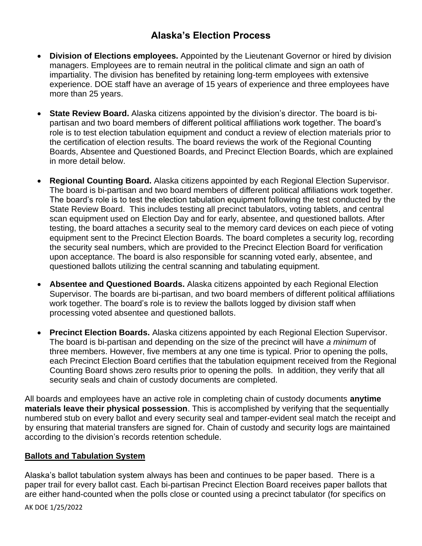# **Alaska's Election Process**

- **Division of Elections employees.** Appointed by the Lieutenant Governor or hired by division managers. Employees are to remain neutral in the political climate and sign an oath of impartiality. The division has benefited by retaining long-term employees with extensive experience. DOE staff have an average of 15 years of experience and three employees have more than 25 years.
- **State Review Board.** Alaska citizens appointed by the division's director. The board is bipartisan and two board members of different political affiliations work together. The board's role is to test election tabulation equipment and conduct a review of election materials prior to the certification of election results. The board reviews the work of the Regional Counting Boards, Absentee and Questioned Boards, and Precinct Election Boards, which are explained in more detail below.
- **Regional Counting Board.** Alaska citizens appointed by each Regional Election Supervisor. The board is bi-partisan and two board members of different political affiliations work together. The board's role is to test the election tabulation equipment following the test conducted by the State Review Board. This includes testing all precinct tabulators, voting tablets, and central scan equipment used on Election Day and for early, absentee, and questioned ballots. After testing, the board attaches a security seal to the memory card devices on each piece of voting equipment sent to the Precinct Election Boards. The board completes a security log, recording the security seal numbers, which are provided to the Precinct Election Board for verification upon acceptance. The board is also responsible for scanning voted early, absentee, and questioned ballots utilizing the central scanning and tabulating equipment.
- **Absentee and Questioned Boards.** Alaska citizens appointed by each Regional Election Supervisor. The boards are bi-partisan, and two board members of different political affiliations work together. The board's role is to review the ballots logged by division staff when processing voted absentee and questioned ballots.
- **Precinct Election Boards.** Alaska citizens appointed by each Regional Election Supervisor. The board is bi-partisan and depending on the size of the precinct will have *a minimum* of three members. However, five members at any one time is typical. Prior to opening the polls, each Precinct Election Board certifies that the tabulation equipment received from the Regional Counting Board shows zero results prior to opening the polls. In addition, they verify that all security seals and chain of custody documents are completed.

All boards and employees have an active role in completing chain of custody documents **anytime materials leave their physical possession**. This is accomplished by verifying that the sequentially numbered stub on every ballot and every security seal and tamper-evident seal match the receipt and by ensuring that material transfers are signed for. Chain of custody and security logs are maintained according to the division's records retention schedule.

#### **Ballots and Tabulation System**

Alaska's ballot tabulation system always has been and continues to be paper based. There is a paper trail for every ballot cast. Each bi-partisan Precinct Election Board receives paper ballots that are either hand-counted when the polls close or counted using a precinct tabulator (for specifics on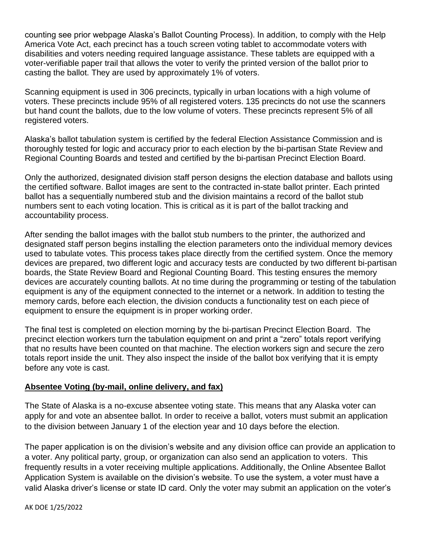counting see prior webpage Alaska's Ballot Counting Process). In addition, to comply with the Help America Vote Act, each precinct has a touch screen voting tablet to accommodate voters with disabilities and voters needing required language assistance. These tablets are equipped with a voter-verifiable paper trail that allows the voter to verify the printed version of the ballot prior to casting the ballot. They are used by approximately 1% of voters.

Scanning equipment is used in 306 precincts, typically in urban locations with a high volume of voters. These precincts include 95% of all registered voters. 135 precincts do not use the scanners but hand count the ballots, due to the low volume of voters. These precincts represent 5% of all registered voters.

Alaska's ballot tabulation system is certified by the federal Election Assistance Commission and is thoroughly tested for logic and accuracy prior to each election by the bi-partisan State Review and Regional Counting Boards and tested and certified by the bi-partisan Precinct Election Board.

Only the authorized, designated division staff person designs the election database and ballots using the certified software. Ballot images are sent to the contracted in-state ballot printer. Each printed ballot has a sequentially numbered stub and the division maintains a record of the ballot stub numbers sent to each voting location. This is critical as it is part of the ballot tracking and accountability process.

After sending the ballot images with the ballot stub numbers to the printer, the authorized and designated staff person begins installing the election parameters onto the individual memory devices used to tabulate votes. This process takes place directly from the certified system. Once the memory devices are prepared, two different logic and accuracy tests are conducted by two different bi-partisan boards, the State Review Board and Regional Counting Board. This testing ensures the memory devices are accurately counting ballots. At no time during the programming or testing of the tabulation equipment is any of the equipment connected to the internet or a network. In addition to testing the memory cards, before each election, the division conducts a functionality test on each piece of equipment to ensure the equipment is in proper working order.

The final test is completed on election morning by the bi-partisan Precinct Election Board. The precinct election workers turn the tabulation equipment on and print a "zero" totals report verifying that no results have been counted on that machine. The election workers sign and secure the zero totals report inside the unit. They also inspect the inside of the ballot box verifying that it is empty before any vote is cast.

#### **Absentee Voting (by-mail, online delivery, and fax)**

The State of Alaska is a no-excuse absentee voting state. This means that any Alaska voter can apply for and vote an absentee ballot. In order to receive a ballot, voters must submit an application to the division between January 1 of the election year and 10 days before the election.

The paper application is on the division's website and any division office can provide an application to a voter. Any political party, group, or organization can also send an application to voters. This frequently results in a voter receiving multiple applications. Additionally, the Online Absentee Ballot Application System is available on the division's website. To use the system, a voter must have a valid Alaska driver's license or state ID card. Only the voter may submit an application on the voter's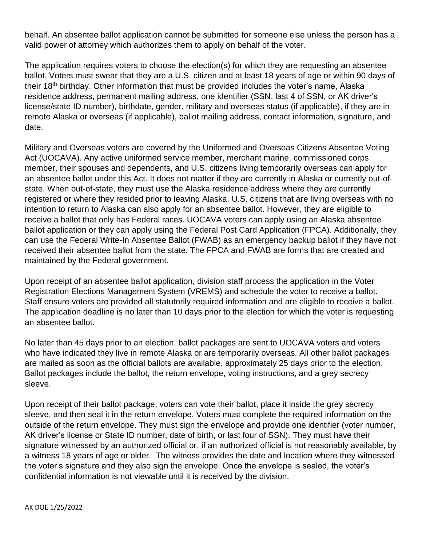behalf. An absentee ballot application cannot be submitted for someone else unless the person has a valid power of attorney which authorizes them to apply on behalf of the voter.

The application requires voters to choose the election(s) for which they are requesting an absentee ballot. Voters must swear that they are a U.S. citizen and at least 18 years of age or within 90 days of their 18th birthday. Other information that must be provided includes the voter's name, Alaska residence address, permanent mailing address, one identifier (SSN, last 4 of SSN, or AK driver's license/state ID number), birthdate, gender, military and overseas status (if applicable), if they are in remote Alaska or overseas (if applicable), ballot mailing address, contact information, signature, and date.

Military and Overseas voters are covered by the Uniformed and Overseas Citizens Absentee Voting Act (UOCAVA). Any active uniformed service member, merchant marine, commissioned corps member, their spouses and dependents, and U.S. citizens living temporarily overseas can apply for an absentee ballot under this Act. It does not matter if they are currently in Alaska or currently out-ofstate. When out-of-state, they must use the Alaska residence address where they are currently registered or where they resided prior to leaving Alaska. U.S. citizens that are living overseas with no intention to return to Alaska can also apply for an absentee ballot. However, they are eligible to receive a ballot that only has Federal races. UOCAVA voters can apply using an Alaska absentee ballot application or they can apply using the Federal Post Card Application (FPCA). Additionally, they can use the Federal Write-In Absentee Ballot (FWAB) as an emergency backup ballot if they have not received their absentee ballot from the state. The FPCA and FWAB are forms that are created and maintained by the Federal government.

Upon receipt of an absentee ballot application, division staff process the application in the Voter Registration Elections Management System (VREMS) and schedule the voter to receive a ballot. Staff ensure voters are provided all statutorily required information and are eligible to receive a ballot. The application deadline is no later than 10 days prior to the election for which the voter is requesting an absentee ballot.

No later than 45 days prior to an election, ballot packages are sent to UOCAVA voters and voters who have indicated they live in remote Alaska or are temporarily overseas. All other ballot packages are mailed as soon as the official ballots are available, approximately 25 days prior to the election. Ballot packages include the ballot, the return envelope, voting instructions, and a grey secrecy sleeve.

Upon receipt of their ballot package, voters can vote their ballot, place it inside the grey secrecy sleeve, and then seal it in the return envelope. Voters must complete the required information on the outside of the return envelope. They must sign the envelope and provide one identifier (voter number, AK driver's license or State ID number, date of birth, or last four of SSN). They must have their signature witnessed by an authorized official or, if an authorized official is not reasonably available, by a witness 18 years of age or older. The witness provides the date and location where they witnessed the voter's signature and they also sign the envelope. Once the envelope is sealed, the voter's confidential information is not viewable until it is received by the division.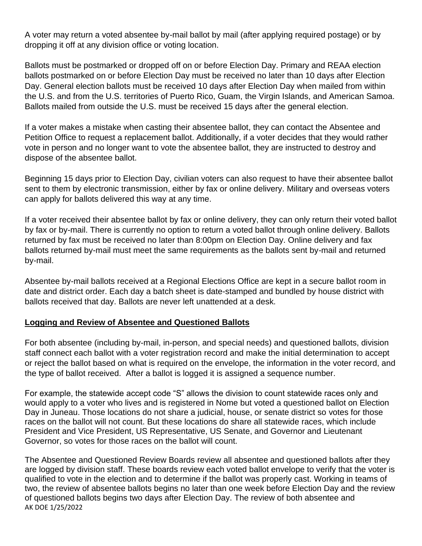A voter may return a voted absentee by-mail ballot by mail (after applying required postage) or by dropping it off at any division office or voting location.

Ballots must be postmarked or dropped off on or before Election Day. Primary and REAA election ballots postmarked on or before Election Day must be received no later than 10 days after Election Day. General election ballots must be received 10 days after Election Day when mailed from within the U.S. and from the U.S. territories of Puerto Rico, Guam, the Virgin Islands, and American Samoa. Ballots mailed from outside the U.S. must be received 15 days after the general election.

If a voter makes a mistake when casting their absentee ballot, they can contact the Absentee and Petition Office to request a replacement ballot. Additionally, if a voter decides that they would rather vote in person and no longer want to vote the absentee ballot, they are instructed to destroy and dispose of the absentee ballot.

Beginning 15 days prior to Election Day, civilian voters can also request to have their absentee ballot sent to them by electronic transmission, either by fax or online delivery. Military and overseas voters can apply for ballots delivered this way at any time.

If a voter received their absentee ballot by fax or online delivery, they can only return their voted ballot by fax or by-mail. There is currently no option to return a voted ballot through online delivery. Ballots returned by fax must be received no later than 8:00pm on Election Day. Online delivery and fax ballots returned by-mail must meet the same requirements as the ballots sent by-mail and returned by-mail.

Absentee by-mail ballots received at a Regional Elections Office are kept in a secure ballot room in date and district order. Each day a batch sheet is date-stamped and bundled by house district with ballots received that day. Ballots are never left unattended at a desk.

#### **Logging and Review of Absentee and Questioned Ballots**

For both absentee (including by-mail, in-person, and special needs) and questioned ballots, division staff connect each ballot with a voter registration record and make the initial determination to accept or reject the ballot based on what is required on the envelope, the information in the voter record, and the type of ballot received. After a ballot is logged it is assigned a sequence number.

For example, the statewide accept code "S" allows the division to count statewide races only and would apply to a voter who lives and is registered in Nome but voted a questioned ballot on Election Day in Juneau. Those locations do not share a judicial, house, or senate district so votes for those races on the ballot will not count. But these locations do share all statewide races, which include President and Vice President, US Representative, US Senate, and Governor and Lieutenant Governor, so votes for those races on the ballot will count.

AK DOE 1/25/2022 The Absentee and Questioned Review Boards review all absentee and questioned ballots after they are logged by division staff. These boards review each voted ballot envelope to verify that the voter is qualified to vote in the election and to determine if the ballot was properly cast. Working in teams of two, the review of absentee ballots begins no later than one week before Election Day and the review of questioned ballots begins two days after Election Day. The review of both absentee and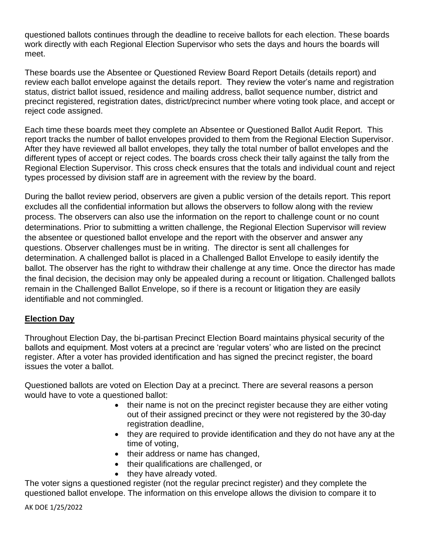questioned ballots continues through the deadline to receive ballots for each election. These boards work directly with each Regional Election Supervisor who sets the days and hours the boards will meet.

These boards use the Absentee or Questioned Review Board Report Details (details report) and review each ballot envelope against the details report. They review the voter's name and registration status, district ballot issued, residence and mailing address, ballot sequence number, district and precinct registered, registration dates, district/precinct number where voting took place, and accept or reject code assigned.

Each time these boards meet they complete an Absentee or Questioned Ballot Audit Report. This report tracks the number of ballot envelopes provided to them from the Regional Election Supervisor. After they have reviewed all ballot envelopes, they tally the total number of ballot envelopes and the different types of accept or reject codes. The boards cross check their tally against the tally from the Regional Election Supervisor. This cross check ensures that the totals and individual count and reject types processed by division staff are in agreement with the review by the board.

During the ballot review period, observers are given a public version of the details report. This report excludes all the confidential information but allows the observers to follow along with the review process. The observers can also use the information on the report to challenge count or no count determinations. Prior to submitting a written challenge, the Regional Election Supervisor will review the absentee or questioned ballot envelope and the report with the observer and answer any questions. Observer challenges must be in writing. The director is sent all challenges for determination. A challenged ballot is placed in a Challenged Ballot Envelope to easily identify the ballot. The observer has the right to withdraw their challenge at any time. Once the director has made the final decision, the decision may only be appealed during a recount or litigation. Challenged ballots remain in the Challenged Ballot Envelope, so if there is a recount or litigation they are easily identifiable and not commingled.

## **Election Day**

Throughout Election Day, the bi-partisan Precinct Election Board maintains physical security of the ballots and equipment. Most voters at a precinct are 'regular voters' who are listed on the precinct register. After a voter has provided identification and has signed the precinct register, the board issues the voter a ballot.

Questioned ballots are voted on Election Day at a precinct. There are several reasons a person would have to vote a questioned ballot:

- their name is not on the precinct register because they are either voting out of their assigned precinct or they were not registered by the 30-day registration deadline,
- they are required to provide identification and they do not have any at the time of voting,
- their address or name has changed,
- their qualifications are challenged, or
- they have already voted.

The voter signs a questioned register (not the regular precinct register) and they complete the questioned ballot envelope. The information on this envelope allows the division to compare it to

AK DOE 1/25/2022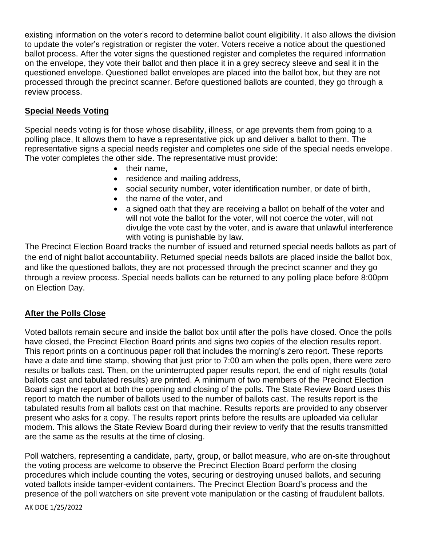existing information on the voter's record to determine ballot count eligibility. It also allows the division to update the voter's registration or register the voter. Voters receive a notice about the questioned ballot process. After the voter signs the questioned register and completes the required information on the envelope, they vote their ballot and then place it in a grey secrecy sleeve and seal it in the questioned envelope. Questioned ballot envelopes are placed into the ballot box, but they are not processed through the precinct scanner. Before questioned ballots are counted, they go through a review process.

## **Special Needs Voting**

Special needs voting is for those whose disability, illness, or age prevents them from going to a polling place, It allows them to have a representative pick up and deliver a ballot to them. The representative signs a special needs register and completes one side of the special needs envelope. The voter completes the other side. The representative must provide:

- their name.
- residence and mailing address,
- social security number, voter identification number, or date of birth,
- the name of the voter, and
- a signed oath that they are receiving a ballot on behalf of the voter and will not vote the ballot for the voter, will not coerce the voter, will not divulge the vote cast by the voter, and is aware that unlawful interference with voting is punishable by law.

The Precinct Election Board tracks the number of issued and returned special needs ballots as part of the end of night ballot accountability. Returned special needs ballots are placed inside the ballot box, and like the questioned ballots, they are not processed through the precinct scanner and they go through a review process. Special needs ballots can be returned to any polling place before 8:00pm on Election Day.

## **After the Polls Close**

Voted ballots remain secure and inside the ballot box until after the polls have closed. Once the polls have closed, the Precinct Election Board prints and signs two copies of the election results report. This report prints on a continuous paper roll that includes the morning's zero report. These reports have a date and time stamp, showing that just prior to 7:00 am when the polls open, there were zero results or ballots cast. Then, on the uninterrupted paper results report, the end of night results (total ballots cast and tabulated results) are printed. A minimum of two members of the Precinct Election Board sign the report at both the opening and closing of the polls. The State Review Board uses this report to match the number of ballots used to the number of ballots cast. The results report is the tabulated results from all ballots cast on that machine. Results reports are provided to any observer present who asks for a copy. The results report prints before the results are uploaded via cellular modem. This allows the State Review Board during their review to verify that the results transmitted are the same as the results at the time of closing.

Poll watchers, representing a candidate, party, group, or ballot measure, who are on-site throughout the voting process are welcome to observe the Precinct Election Board perform the closing procedures which include counting the votes, securing or destroying unused ballots, and securing voted ballots inside tamper-evident containers. The Precinct Election Board's process and the presence of the poll watchers on site prevent vote manipulation or the casting of fraudulent ballots.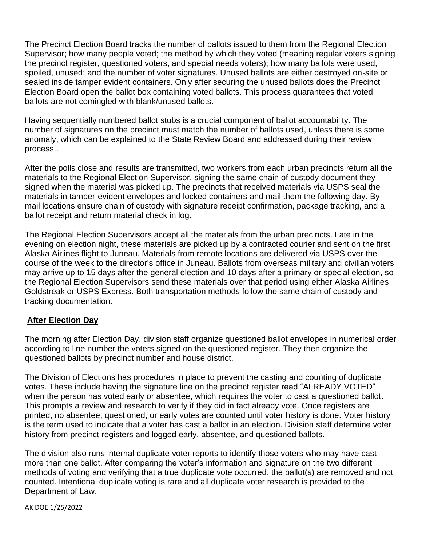The Precinct Election Board tracks the number of ballots issued to them from the Regional Election Supervisor; how many people voted; the method by which they voted (meaning regular voters signing the precinct register, questioned voters, and special needs voters); how many ballots were used, spoiled, unused; and the number of voter signatures. Unused ballots are either destroyed on-site or sealed inside tamper evident containers. Only after securing the unused ballots does the Precinct Election Board open the ballot box containing voted ballots. This process guarantees that voted ballots are not comingled with blank/unused ballots.

Having sequentially numbered ballot stubs is a crucial component of ballot accountability. The number of signatures on the precinct must match the number of ballots used, unless there is some anomaly, which can be explained to the State Review Board and addressed during their review process..

After the polls close and results are transmitted, two workers from each urban precincts return all the materials to the Regional Election Supervisor, signing the same chain of custody document they signed when the material was picked up. The precincts that received materials via USPS seal the materials in tamper-evident envelopes and locked containers and mail them the following day. Bymail locations ensure chain of custody with signature receipt confirmation, package tracking, and a ballot receipt and return material check in log.

The Regional Election Supervisors accept all the materials from the urban precincts. Late in the evening on election night, these materials are picked up by a contracted courier and sent on the first Alaska Airlines flight to Juneau. Materials from remote locations are delivered via USPS over the course of the week to the director's office in Juneau. Ballots from overseas military and civilian voters may arrive up to 15 days after the general election and 10 days after a primary or special election, so the Regional Election Supervisors send these materials over that period using either Alaska Airlines Goldstreak or USPS Express. Both transportation methods follow the same chain of custody and tracking documentation.

## **After Election Day**

The morning after Election Day, division staff organize questioned ballot envelopes in numerical order according to line number the voters signed on the questioned register. They then organize the questioned ballots by precinct number and house district.

The Division of Elections has procedures in place to prevent the casting and counting of duplicate votes. These include having the signature line on the precinct register read "ALREADY VOTED" when the person has voted early or absentee, which requires the voter to cast a questioned ballot. This prompts a review and research to verify if they did in fact already vote. Once registers are printed, no absentee, questioned, or early votes are counted until voter history is done. Voter history is the term used to indicate that a voter has cast a ballot in an election. Division staff determine voter history from precinct registers and logged early, absentee, and questioned ballots.

The division also runs internal duplicate voter reports to identify those voters who may have cast more than one ballot. After comparing the voter's information and signature on the two different methods of voting and verifying that a true duplicate vote occurred, the ballot(s) are removed and not counted. Intentional duplicate voting is rare and all duplicate voter research is provided to the Department of Law.

AK DOE 1/25/2022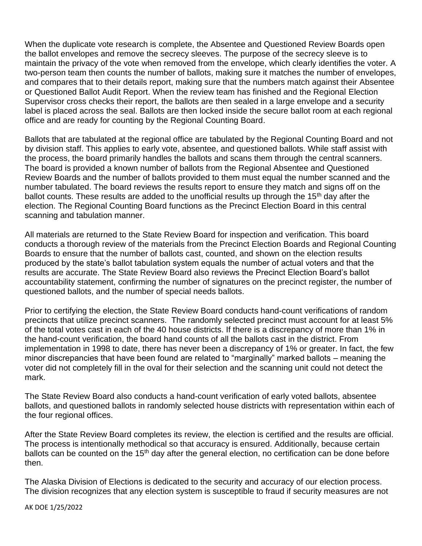When the duplicate vote research is complete, the Absentee and Questioned Review Boards open the ballot envelopes and remove the secrecy sleeves. The purpose of the secrecy sleeve is to maintain the privacy of the vote when removed from the envelope, which clearly identifies the voter. A two-person team then counts the number of ballots, making sure it matches the number of envelopes, and compares that to their details report, making sure that the numbers match against their Absentee or Questioned Ballot Audit Report. When the review team has finished and the Regional Election Supervisor cross checks their report, the ballots are then sealed in a large envelope and a security label is placed across the seal. Ballots are then locked inside the secure ballot room at each regional office and are ready for counting by the Regional Counting Board.

Ballots that are tabulated at the regional office are tabulated by the Regional Counting Board and not by division staff. This applies to early vote, absentee, and questioned ballots. While staff assist with the process, the board primarily handles the ballots and scans them through the central scanners. The board is provided a known number of ballots from the Regional Absentee and Questioned Review Boards and the number of ballots provided to them must equal the number scanned and the number tabulated. The board reviews the results report to ensure they match and signs off on the ballot counts. These results are added to the unofficial results up through the 15<sup>th</sup> day after the election. The Regional Counting Board functions as the Precinct Election Board in this central scanning and tabulation manner.

All materials are returned to the State Review Board for inspection and verification. This board conducts a thorough review of the materials from the Precinct Election Boards and Regional Counting Boards to ensure that the number of ballots cast, counted, and shown on the election results produced by the state's ballot tabulation system equals the number of actual voters and that the results are accurate. The State Review Board also reviews the Precinct Election Board's ballot accountability statement, confirming the number of signatures on the precinct register, the number of questioned ballots, and the number of special needs ballots.

Prior to certifying the election, the State Review Board conducts hand-count verifications of random precincts that utilize precinct scanners. The randomly selected precinct must account for at least 5% of the total votes cast in each of the 40 house districts. If there is a discrepancy of more than 1% in the hand-count verification, the board hand counts of all the ballots cast in the district. From implementation in 1998 to date, there has never been a discrepancy of 1% or greater. In fact, the few minor discrepancies that have been found are related to "marginally" marked ballots – meaning the voter did not completely fill in the oval for their selection and the scanning unit could not detect the mark.

The State Review Board also conducts a hand-count verification of early voted ballots, absentee ballots, and questioned ballots in randomly selected house districts with representation within each of the four regional offices.

After the State Review Board completes its review, the election is certified and the results are official. The process is intentionally methodical so that accuracy is ensured. Additionally, because certain ballots can be counted on the 15<sup>th</sup> day after the general election, no certification can be done before then.

The Alaska Division of Elections is dedicated to the security and accuracy of our election process. The division recognizes that any election system is susceptible to fraud if security measures are not

AK DOE 1/25/2022